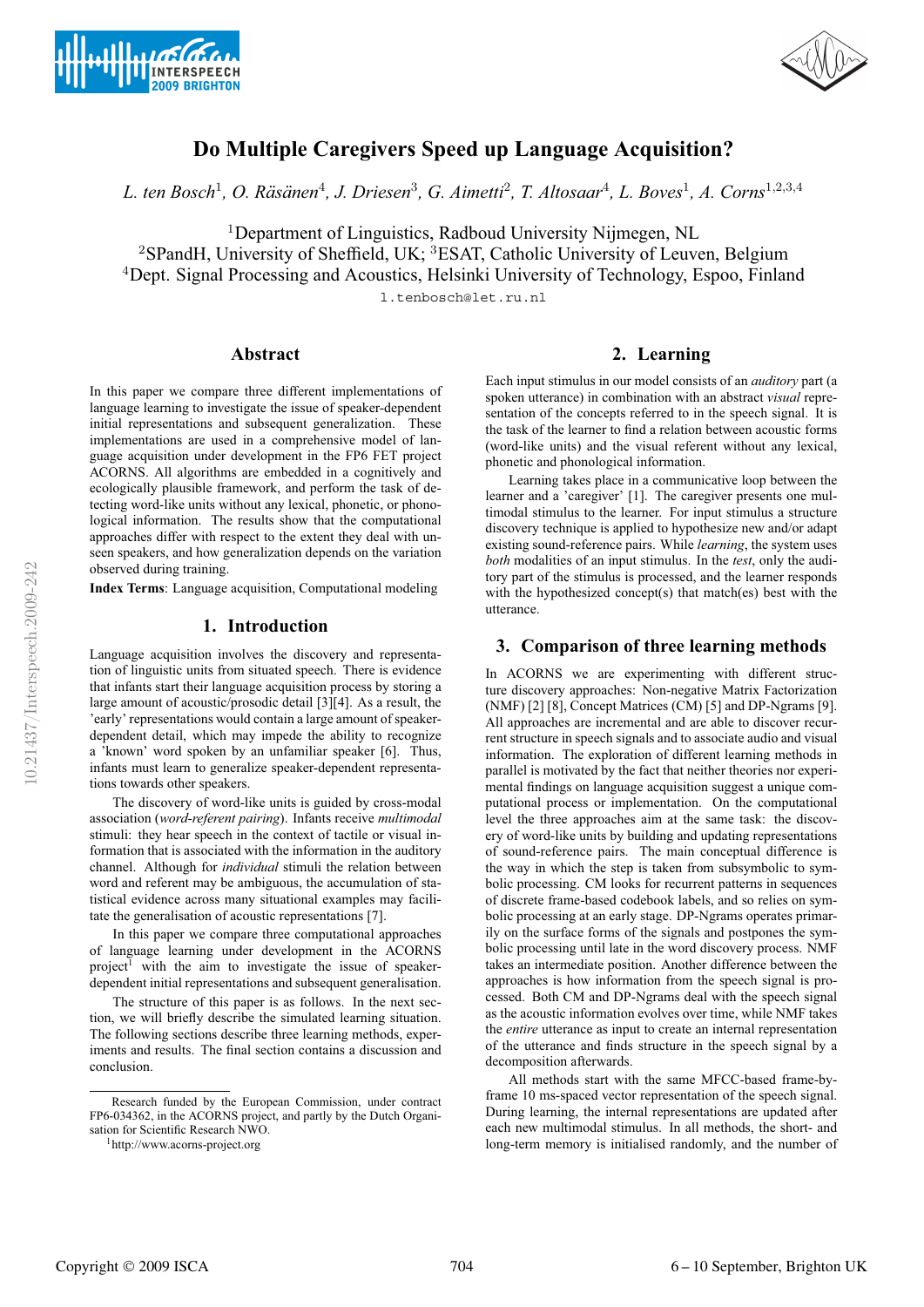



# **Do Multiple Caregivers Speed up Language Acquisition?**

*L. ten Bosch*<sup>1</sup>*, O. Ras¨ anen ¨* <sup>4</sup>*, J. Driesen*<sup>3</sup>*, G. Aimetti*<sup>2</sup>*, T. Altosaar*<sup>4</sup>*, L. Boves*<sup>1</sup>*, A. Corns*<sup>1</sup>,2,3,<sup>4</sup>

<sup>1</sup>Department of Linguistics, Radboud University Nijmegen, NL

<sup>2</sup>SPandH, University of Sheffield, UK; <sup>3</sup>ESAT, Catholic University of Leuven, Belgium

<sup>4</sup>Dept. Signal Processing and Acoustics, Helsinki University of Technology, Espoo, Finland

l.tenbosch@let.ru.nl

# **Abstract**

In this paper we compare three different implementations of language learning to investigate the issue of speaker-dependent initial representations and subsequent generalization. These implementations are used in a comprehensive model of language acquisition under development in the FP6 FET project ACORNS. All algorithms are embedded in a cognitively and ecologically plausible framework, and perform the task of detecting word-like units without any lexical, phonetic, or phonological information. The results show that the computational approaches differ with respect to the extent they deal with unseen speakers, and how generalization depends on the variation observed during training.

**Index Terms**: Language acquisition, Computational modeling

## **1. Introduction**

Language acquisition involves the discovery and representation of linguistic units from situated speech. There is evidence that infants start their language acquisition process by storing a large amount of acoustic/prosodic detail [3][4]. As a result, the 'early' representations would contain a large amount of speakerdependent detail, which may impede the ability to recognize a 'known' word spoken by an unfamiliar speaker [6]. Thus, infants must learn to generalize speaker-dependent representations towards other speakers.

The discovery of word-like units is guided by cross-modal association (*word-referent pairing*). Infants receive *multimodal* stimuli: they hear speech in the context of tactile or visual information that is associated with the information in the auditory channel. Although for *individual* stimuli the relation between word and referent may be ambiguous, the accumulation of statistical evidence across many situational examples may facilitate the generalisation of acoustic representations [7].

In this paper we compare three computational approaches of language learning under development in the ACORNS project<sup>1</sup> with the aim to investigate the issue of speakerdependent initial representations and subsequent generalisation.

The structure of this paper is as follows. In the next section, we will briefly describe the simulated learning situation. The following sections describe three learning methods, experiments and results. The final section contains a discussion and conclusion.

# **2. Learning**

Each input stimulus in our model consists of an *auditory* part (a spoken utterance) in combination with an abstract *visual* representation of the concepts referred to in the speech signal. It is the task of the learner to find a relation between acoustic forms (word-like units) and the visual referent without any lexical, phonetic and phonological information.

Learning takes place in a communicative loop between the learner and a 'caregiver' [1]. The caregiver presents one multimodal stimulus to the learner. For input stimulus a structure discovery technique is applied to hypothesize new and/or adapt existing sound-reference pairs. While *learning*, the system uses *both* modalities of an input stimulus. In the *test*, only the auditory part of the stimulus is processed, and the learner responds with the hypothesized concept(s) that match(es) best with the utterance.

### **3. Comparison of three learning methods**

In ACORNS we are experimenting with different structure discovery approaches: Non-negative Matrix Factorization (NMF) [2] [8], Concept Matrices (CM) [5] and DP-Ngrams [9]. All approaches are incremental and are able to discover recurrent structure in speech signals and to associate audio and visual information. The exploration of different learning methods in parallel is motivated by the fact that neither theories nor experimental findings on language acquisition suggest a unique computational process or implementation. On the computational level the three approaches aim at the same task: the discovery of word-like units by building and updating representations of sound-reference pairs. The main conceptual difference is the way in which the step is taken from subsymbolic to symbolic processing. CM looks for recurrent patterns in sequences of discrete frame-based codebook labels, and so relies on symbolic processing at an early stage. DP-Ngrams operates primarily on the surface forms of the signals and postpones the symbolic processing until late in the word discovery process. NMF takes an intermediate position. Another difference between the approaches is how information from the speech signal is processed. Both CM and DP-Ngrams deal with the speech signal as the acoustic information evolves over time, while NMF takes the *entire* utterance as input to create an internal representation of the utterance and finds structure in the speech signal by a decomposition afterwards.

All methods start with the same MFCC-based frame-byframe 10 ms-spaced vector representation of the speech signal. During learning, the internal representations are updated after each new multimodal stimulus. In all methods, the short- and long-term memory is initialised randomly, and the number of

Research funded by the European Commission, under contract FP6-034362, in the ACORNS project, and partly by the Dutch Organisation for Scientific Research NWO.

<sup>1</sup>http://www.acorns-project.org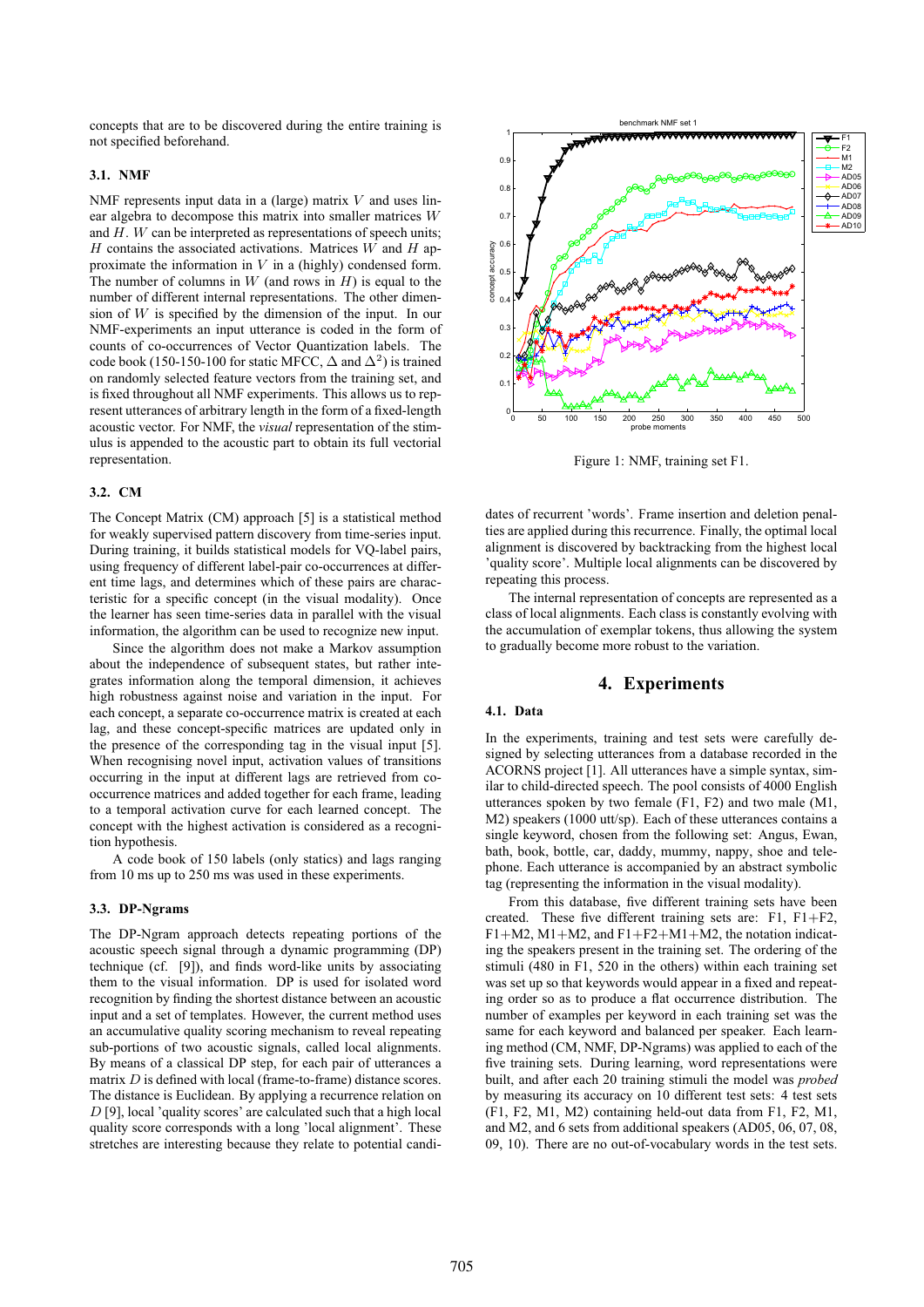concepts that are to be discovered during the entire training is not specified beforehand.

#### **3.1. NMF**

NMF represents input data in a (large) matrix  $V$  and uses linear algebra to decompose this matrix into smaller matrices W and  $H$ .  $W$  can be interpreted as representations of speech units;  $H$  contains the associated activations. Matrices  $W$  and  $H$  approximate the information in  $V$  in a (highly) condensed form. The number of columns in  $W$  (and rows in  $H$ ) is equal to the number of different internal representations. The other dimension of  $W$  is specified by the dimension of the input. In our NMF-experiments an input utterance is coded in the form of counts of co-occurrences of Vector Quantization labels. The code book (150-150-100 for static MFCC,  $\Delta$  and  $\Delta^2$ ) is trained on randomly selected feature vectors from the training set, and is fixed throughout all NMF experiments. This allows us to represent utterances of arbitrary length in the form of a fixed-length acoustic vector. For NMF, the *visual* representation of the stimulus is appended to the acoustic part to obtain its full vectorial representation.

#### **3.2. CM**

The Concept Matrix (CM) approach [5] is a statistical method for weakly supervised pattern discovery from time-series input. During training, it builds statistical models for VQ-label pairs, using frequency of different label-pair co-occurrences at different time lags, and determines which of these pairs are characteristic for a specific concept (in the visual modality). Once the learner has seen time-series data in parallel with the visual information, the algorithm can be used to recognize new input.

Since the algorithm does not make a Markov assumption about the independence of subsequent states, but rather integrates information along the temporal dimension, it achieves high robustness against noise and variation in the input. For each concept, a separate co-occurrence matrix is created at each lag, and these concept-specific matrices are updated only in the presence of the corresponding tag in the visual input [5]. When recognising novel input, activation values of transitions occurring in the input at different lags are retrieved from cooccurrence matrices and added together for each frame, leading to a temporal activation curve for each learned concept. The concept with the highest activation is considered as a recognition hypothesis.

A code book of 150 labels (only statics) and lags ranging from 10 ms up to 250 ms was used in these experiments.

### **3.3. DP-Ngrams**

The DP-Ngram approach detects repeating portions of the acoustic speech signal through a dynamic programming (DP) technique (cf. [9]), and finds word-like units by associating them to the visual information. DP is used for isolated word recognition by finding the shortest distance between an acoustic input and a set of templates. However, the current method uses an accumulative quality scoring mechanism to reveal repeating sub-portions of two acoustic signals, called local alignments. By means of a classical DP step, for each pair of utterances a matrix D is defined with local (frame-to-frame) distance scores. The distance is Euclidean. By applying a recurrence relation on  $D$  [9], local 'quality scores' are calculated such that a high local quality score corresponds with a long 'local alignment'. These stretches are interesting because they relate to potential candi-



Figure 1: NMF, training set F1.

dates of recurrent 'words'. Frame insertion and deletion penalties are applied during this recurrence. Finally, the optimal local alignment is discovered by backtracking from the highest local 'quality score'. Multiple local alignments can be discovered by repeating this process.

The internal representation of concepts are represented as a class of local alignments. Each class is constantly evolving with the accumulation of exemplar tokens, thus allowing the system to gradually become more robust to the variation.

# **4. Experiments**

### **4.1. Data**

In the experiments, training and test sets were carefully designed by selecting utterances from a database recorded in the ACORNS project [1]. All utterances have a simple syntax, similar to child-directed speech. The pool consists of 4000 English utterances spoken by two female (F1, F2) and two male (M1, M2) speakers (1000 utt/sp). Each of these utterances contains a single keyword, chosen from the following set: Angus, Ewan, bath, book, bottle, car, daddy, mummy, nappy, shoe and telephone. Each utterance is accompanied by an abstract symbolic tag (representing the information in the visual modality).

From this database, five different training sets have been created. These five different training sets are: F1, F1+F2,  $F1+M2$ ,  $M1+M2$ , and  $F1+F2+M1+M2$ , the notation indicating the speakers present in the training set. The ordering of the stimuli (480 in F1, 520 in the others) within each training set was set up so that keywords would appear in a fixed and repeating order so as to produce a flat occurrence distribution. The number of examples per keyword in each training set was the same for each keyword and balanced per speaker. Each learning method (CM, NMF, DP-Ngrams) was applied to each of the five training sets. During learning, word representations were built, and after each 20 training stimuli the model was *probed* by measuring its accuracy on 10 different test sets: 4 test sets (F1, F2, M1, M2) containing held-out data from F1, F2, M1, and M2, and 6 sets from additional speakers (AD05, 06, 07, 08, 09, 10). There are no out-of-vocabulary words in the test sets.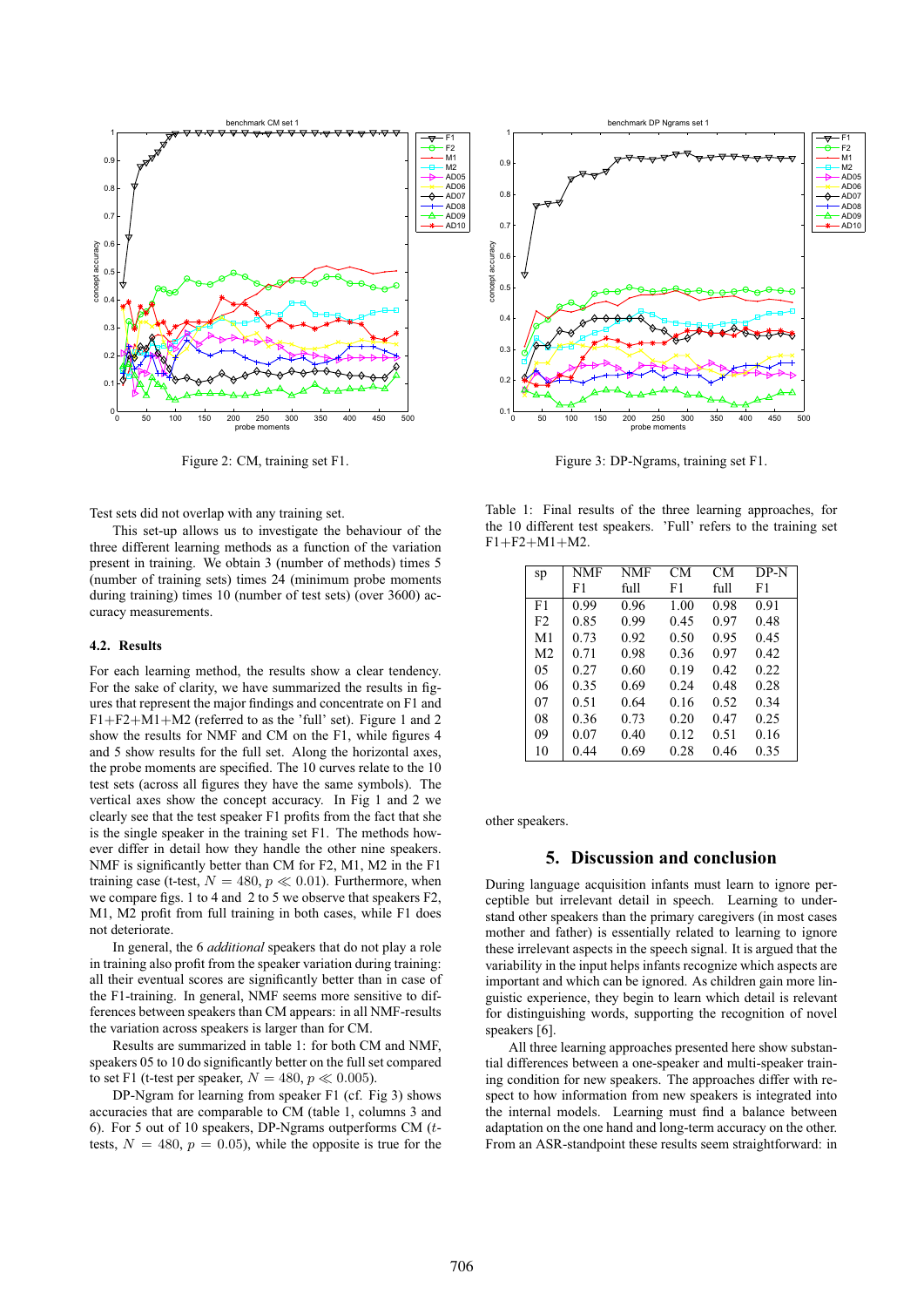

Figure 2: CM, training set F1.

Test sets did not overlap with any training set.

This set-up allows us to investigate the behaviour of the three different learning methods as a function of the variation present in training. We obtain 3 (number of methods) times 5 (number of training sets) times 24 (minimum probe moments during training) times 10 (number of test sets) (over 3600) accuracy measurements.

#### **4.2. Results**

For each learning method, the results show a clear tendency. For the sake of clarity, we have summarized the results in figures that represent the major findings and concentrate on F1 and  $F1 + F2 + M1 + M2$  (referred to as the 'full' set). Figure 1 and 2 show the results for NMF and CM on the F1, while figures 4 and 5 show results for the full set. Along the horizontal axes, the probe moments are specified. The 10 curves relate to the 10 test sets (across all figures they have the same symbols). The vertical axes show the concept accuracy. In Fig 1 and 2 we clearly see that the test speaker F1 profits from the fact that she is the single speaker in the training set F1. The methods however differ in detail how they handle the other nine speakers. NMF is significantly better than CM for F2, M1, M2 in the F1 training case (t-test,  $N = 480, p \ll 0.01$ ). Furthermore, when we compare figs. 1 to 4 and 2 to 5 we observe that speakers F2, M1, M2 profit from full training in both cases, while F1 does not deteriorate.

In general, the 6 *additional* speakers that do not play a role in training also profit from the speaker variation during training: all their eventual scores are significantly better than in case of the F1-training. In general, NMF seems more sensitive to differences between speakers than CM appears: in all NMF-results the variation across speakers is larger than for CM.

Results are summarized in table 1: for both CM and NMF, speakers 05 to 10 do significantly better on the full set compared to set F1 (t-test per speaker,  $N = 480, p \ll 0.005$ ).

DP-Ngram for learning from speaker F1 (cf. Fig 3) shows accuracies that are comparable to CM (table 1, columns 3 and 6). For 5 out of 10 speakers, DP-Ngrams outperforms CM  $(t$ tests,  $N = 480$ ,  $p = 0.05$ ), while the opposite is true for the



Figure 3: DP-Ngrams, training set F1.

Table 1: Final results of the three learning approaches, for the 10 different test speakers. 'Full' refers to the training set  $F1 + F2 + M1 + M2$ .

| sp             | NMF  | NMF  | CМ   | CМ   | DP-N |
|----------------|------|------|------|------|------|
|                | F1   | full | F1   | full | F1   |
| F1             | 0.99 | 0.96 | 1.00 | 0.98 | 0.91 |
| F <sub>2</sub> | 0.85 | 0.99 | 0.45 | 0.97 | 0.48 |
| M1             | 0.73 | 0.92 | 0.50 | 0.95 | 0.45 |
| M <sub>2</sub> | 0.71 | 0.98 | 0.36 | 0.97 | 0.42 |
| 05             | 0.27 | 0.60 | 0.19 | 0.42 | 0.22 |
| 06             | 0.35 | 0.69 | 0.24 | 0.48 | 0.28 |
| 07             | 0.51 | 0.64 | 0.16 | 0.52 | 0.34 |
| 08             | 0.36 | 0.73 | 0.20 | 0.47 | 0.25 |
| 09             | 0.07 | 0.40 | 0.12 | 0.51 | 0.16 |
| 10             | 0.44 | 0.69 | 0.28 | 0.46 | 0.35 |
|                |      |      |      |      |      |

other speakers.

## **5. Discussion and conclusion**

During language acquisition infants must learn to ignore perceptible but irrelevant detail in speech. Learning to understand other speakers than the primary caregivers (in most cases mother and father) is essentially related to learning to ignore these irrelevant aspects in the speech signal. It is argued that the variability in the input helps infants recognize which aspects are important and which can be ignored. As children gain more linguistic experience, they begin to learn which detail is relevant for distinguishing words, supporting the recognition of novel speakers [6].

All three learning approaches presented here show substantial differences between a one-speaker and multi-speaker training condition for new speakers. The approaches differ with respect to how information from new speakers is integrated into the internal models. Learning must find a balance between adaptation on the one hand and long-term accuracy on the other. From an ASR-standpoint these results seem straightforward: in